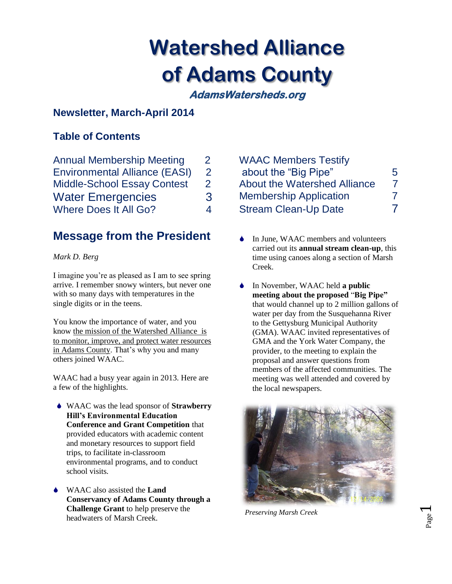# **Watershed Alliance of Adams County**

**AdamsWatersheds.org** 

## **Newsletter, March-April 2014**

## **Table of Contents**

| <b>Annual Membership Meeting</b>     |   |
|--------------------------------------|---|
| <b>Environmental Alliance (EASI)</b> | 2 |
| <b>Middle-School Essay Contest</b>   | 2 |
| <b>Water Emergencies</b>             |   |
| <b>Where Does It All Go?</b>         | 4 |

# **Message from the President**

## *Mark D. Berg*

I imagine you're as pleased as I am to see spring arrive. I remember snowy winters, but never one with so many days with temperatures in the single digits or in the teens.

You know the importance of water, and you know the mission of the Watershed Alliance is to monitor, improve, and protect water resources in Adams County. That's why you and many others joined WAAC.

WAAC had a busy year again in 2013. Here are a few of the highlights.

- WAAC was the lead sponsor of **Strawberry Hill's Environmental Education Conference and Grant Competition** that provided educators with academic content and monetary resources to support field trips, to facilitate in-classroom environmental programs, and to conduct school visits.
- WAAC also assisted the **Land Conservancy of Adams County through a Challenge Grant** to help preserve the headwaters of Marsh Creek.

| <b>WAAC Members Testify</b>         |   |
|-------------------------------------|---|
| about the "Big Pipe"                | 5 |
| <b>About the Watershed Alliance</b> | 7 |
| <b>Membership Application</b>       |   |
| <b>Stream Clean-Up Date</b>         | 7 |

- In June, WAAC members and volunteers carried out its **annual stream clean-up**, this time using canoes along a section of Marsh Creek.
- In November, WAAC held **a public meeting about the proposed** "**Big Pipe"** that would channel up to 2 million gallons of water per day from the Susquehanna River to the Gettysburg Municipal Authority (GMA). WAAC invited representatives of GMA and the York Water Company, the provider, to the meeting to explain the proposal and answer questions from members of the affected communities. The meeting was well attended and covered by the local newspapers.



 *Preserving Marsh Creek*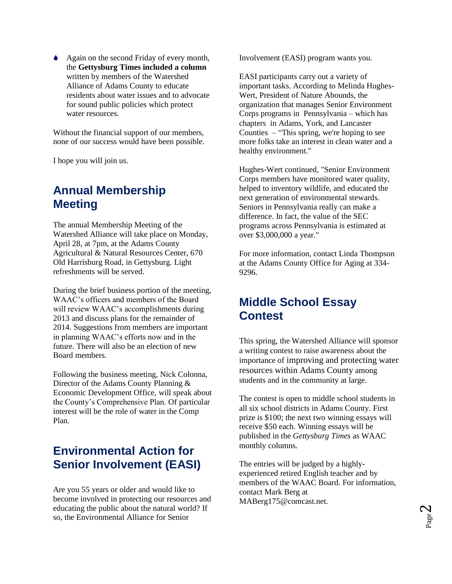Again on the second Friday of every month, the **Gettysburg Times included a column** written by members of the Watershed Alliance of Adams County to educate residents about water issues and to advocate for sound public policies which protect water resources.

Without the financial support of our members, none of our success would have been possible.

I hope you will join us.

## **Annual Membership Meeting**

The annual Membership Meeting of the Watershed Alliance will take place on Monday, April 28, at 7pm, at the Adams County Agricultural & Natural Resources Center, 670 Old Harrisburg Road, in Gettysburg. Light refreshments will be served.

During the brief business portion of the meeting, WAAC's officers and members of the Board will review WAAC's accomplishments during 2013 and discuss plans for the remainder of 2014. Suggestions from members are important in planning WAAC's efforts now and in the future. There will also be an election of new Board members.

Following the business meeting, Nick Colonna, Director of the Adams County Planning & Economic Development Office, will speak about the County's Comprehensive Plan. Of particular interest will be the role of water in the Comp Plan.

# **Environmental Action for Senior Involvement (EASI)**

Are you 55 years or older and would like to become involved in protecting our resources and educating the public about the natural world? If so, the Environmental Alliance for Senior

Involvement (EASI) program wants you.

EASI participants carry out a variety of important tasks. According to Melinda Hughes-Wert, President of Nature Abounds, the organization that manages Senior Environment Corps programs in Pennsylvania – which has chapters in Adams, York, and Lancaster Counties – "This spring, we're hoping to see more folks take an interest in clean water and a healthy environment."

Hughes-Wert continued, "Senior Environment Corps members have monitored water quality, helped to inventory wildlife, and educated the next generation of environmental stewards. Seniors in Pennsylvania really can make a difference. In fact, the value of the SEC programs across Pennsylvania is estimated at over \$3,000,000 a year."

For more information, contact Linda Thompson at the Adams County Office for Aging at 334- 9296.

## **Middle School Essay Contest**

This spring, the Watershed Alliance will sponsor a writing contest to raise awareness about the importance of improving and protecting water resources within Adams County among students and in the community at large.

The contest is open to middle school students in all six school districts in Adams County. First prize is \$100; the next two winning essays will receive \$50 each. Winning essays will be published in the *Gettysburg Times* as WAAC monthly columns.

The entries will be judged by a highlyexperienced retired English teacher and by members of the WAAC Board. For information, contact Mark Berg at MABerg175@comcast.net.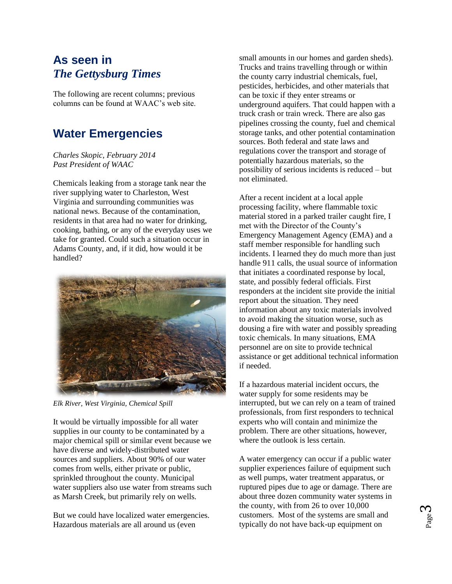## **As seen in** *The Gettysburg Times*

The following are recent columns; previous columns can be found at WAAC's web site.

# **Water Emergencies**

#### *Charles Skopic, February 2014 Past President of WAAC*

Chemicals leaking from a storage tank near the river supplying water to Charleston, West Virginia and surrounding communities was national news. Because of the contamination, residents in that area had no water for drinking, cooking, bathing, or any of the everyday uses we take for granted. Could such a situation occur in Adams County, and, if it did, how would it be handled?



*Elk River, West Virginia, Chemical Spill*

It would be virtually impossible for all water supplies in our county to be contaminated by a major chemical spill or similar event because we have diverse and widely-distributed water sources and suppliers. About 90% of our water comes from wells, either private or public, sprinkled throughout the county. Municipal water suppliers also use water from streams such as Marsh Creek, but primarily rely on wells.

But we could have localized water emergencies. Hazardous materials are all around us (even

small amounts in our homes and garden sheds). Trucks and trains travelling through or within the county carry industrial chemicals, fuel, pesticides, herbicides, and other materials that can be toxic if they enter streams or underground aquifers. That could happen with a truck crash or train wreck. There are also gas pipelines crossing the county, fuel and chemical storage tanks, and other potential contamination sources. Both federal and state laws and regulations cover the transport and storage of potentially hazardous materials, so the possibility of serious incidents is reduced – but not eliminated.

After a recent incident at a local apple processing facility, where flammable toxic material stored in a parked trailer caught fire, I met with the Director of the County's Emergency Management Agency (EMA) and a staff member responsible for handling such incidents. I learned they do much more than just handle 911 calls, the usual source of information that initiates a coordinated response by local, state, and possibly federal officials. First responders at the incident site provide the initial report about the situation. They need information about any toxic materials involved to avoid making the situation worse, such as dousing a fire with water and possibly spreading toxic chemicals. In many situations, EMA personnel are on site to provide technical assistance or get additional technical information if needed.

If a hazardous material incident occurs, the water supply for some residents may be interrupted, but we can rely on a team of trained professionals, from first responders to technical experts who will contain and minimize the problem. There are other situations, however, where the outlook is less certain.

A water emergency can occur if a public water supplier experiences failure of equipment such as well pumps, water treatment apparatus, or ruptured pipes due to age or damage. There are about three dozen community water systems in the county, with from 26 to over 10,000 customers. Most of the systems are small and typically do not have back-up equipment on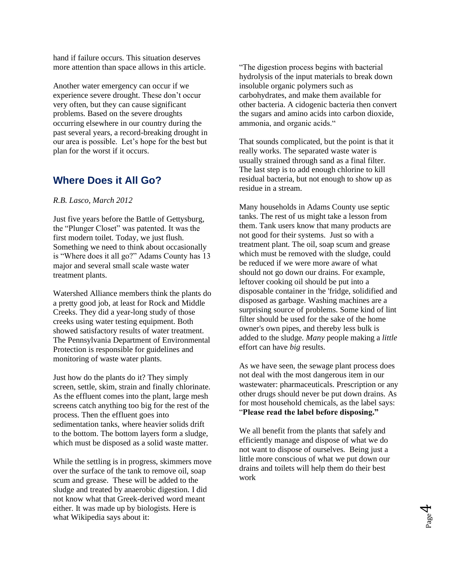hand if failure occurs. This situation deserves more attention than space allows in this article.

Another water emergency can occur if we experience severe drought. These don't occur very often, but they can cause significant problems. Based on the severe droughts occurring elsewhere in our country during the past several years, a record-breaking drought in our area is possible. Let's hope for the best but plan for the worst if it occurs.

## **Where Does it All Go?**

#### *R.B. Lasco, March 2012*

Just five years before the Battle of Gettysburg, the "Plunger Closet" was patented. It was the first modern toilet. Today, we just flush. Something we need to think about occasionally is "Where does it all go?" Adams County has 13 major and several small scale waste water treatment plants.

Watershed Alliance members think the plants do a pretty good job, at least for Rock and Middle Creeks. They did a year-long study of those creeks using water testing equipment. Both showed satisfactory results of water treatment. The Pennsylvania Department of Environmental Protection is responsible for guidelines and monitoring of waste water plants.

Just how do the plants do it? They simply screen, settle, skim, strain and finally chlorinate. As the effluent comes into the plant, large mesh screens catch anything too big for the rest of the process. Then the effluent goes into sedimentation tanks, where heavier solids drift to the bottom. The bottom layers form a sludge, which must be disposed as a solid waste matter.

While the settling is in progress, skimmers move over the surface of the tank to remove oil, soap scum and grease. These will be added to the sludge and treated by anaerobic digestion. I did not know what that Greek-derived word meant either. It was made up by biologists. Here is what Wikipedia says about it:

"The digestion process begins with bacterial hydrolysis of the input materials to break down insoluble organic polymers such as carbohydrates, and make them available for other bacteria. A cidogenic bacteria then convert the sugars and amino acids into carbon dioxide, ammonia, and organic acids."

That sounds complicated, but the point is that it really works. The separated waste water is usually strained through sand as a final filter. The last step is to add enough chlorine to kill residual bacteria, but not enough to show up as residue in a stream.

Many households in Adams County use septic tanks. The rest of us might take a lesson from them. Tank users know that many products are not good for their systems. Just so with a treatment plant. The oil, soap scum and grease which must be removed with the sludge, could be reduced if we were more aware of what should not go down our drains. For example, leftover cooking oil should be put into a disposable container in the 'fridge, solidified and disposed as garbage. Washing machines are a surprising source of problems. Some kind of lint filter should be used for the sake of the home owner's own pipes, and thereby less bulk is added to the sludge. *Many* people making a *little* effort can have *big* results.

As we have seen, the sewage plant process does not deal with the most dangerous item in our wastewater: pharmaceuticals. Prescription or any other drugs should never be put down drains. As for most household chemicals, as the label says: "**Please read the label before disposing."**

We all benefit from the plants that safely and efficiently manage and dispose of what we do not want to dispose of ourselves. Being just a little more conscious of what we put down our drains and toilets will help them do their best work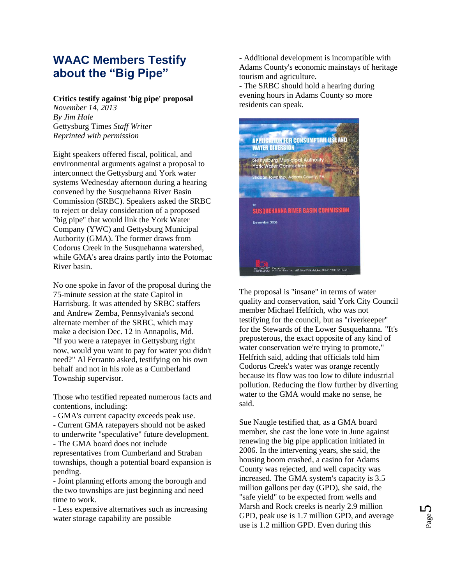## **WAAC Members Testify about the "Big Pipe"**

## **Critics testify against 'big pipe' proposal**

*November 14, 2013 By Jim Hale* Gettysburg Times *Staff Writer Reprinted with permission*

Eight speakers offered fiscal, political, and environmental arguments against a proposal to interconnect the Gettysburg and York water systems Wednesday afternoon during a hearing convened by the Susquehanna River Basin Commission (SRBC). Speakers asked the SRBC to reject or delay consideration of a proposed "big pipe" that would link the York Water Company (YWC) and Gettysburg Municipal Authority (GMA). The former draws from Codorus Creek in the Susquehanna watershed, while GMA's area drains partly into the Potomac River basin.

No one spoke in favor of the proposal during the 75-minute session at the state Capitol in Harrisburg. It was attended by SRBC staffers and Andrew Zemba, Pennsylvania's second alternate member of the SRBC, which may make a decision Dec. 12 in Annapolis, Md. "If you were a ratepayer in Gettysburg right now, would you want to pay for water you didn't need?" Al Ferranto asked, testifying on his own behalf and not in his role as a Cumberland Township supervisor.

Those who testified repeated numerous facts and contentions, including:

- GMA's current capacity exceeds peak use. - Current GMA ratepayers should not be asked to underwrite "speculative" future development. - The GMA board does not include representatives from Cumberland and Straban townships, though a potential board expansion is pending.

- Joint planning efforts among the borough and the two townships are just beginning and need time to work.

- Less expensive alternatives such as increasing water storage capability are possible

- Additional development is incompatible with Adams County's economic mainstays of heritage tourism and agriculture.

- The SRBC should hold a hearing during evening hours in Adams County so more residents can speak.



The proposal is "insane" in terms of water quality and conservation, said York City Council member Michael Helfrich, who was not testifying for the council, but as "riverkeeper" for the Stewards of the Lower Susquehanna. "It's preposterous, the exact opposite of any kind of water conservation we're trying to promote," Helfrich said, adding that officials told him Codorus Creek's water was orange recently because its flow was too low to dilute industrial pollution. Reducing the flow further by diverting water to the GMA would make no sense, he said.

Sue Naugle testified that, as a GMA board member, she cast the lone vote in June against renewing the big pipe application initiated in 2006. In the intervening years, she said, the housing boom crashed, a casino for Adams County was rejected, and well capacity was increased. The GMA system's capacity is 3.5 million gallons per day (GPD), she said, the "safe yield" to be expected from wells and Marsh and Rock creeks is nearly 2.9 million GPD, peak use is 1.7 million GPD, and average use is 1.2 million GPD. Even during this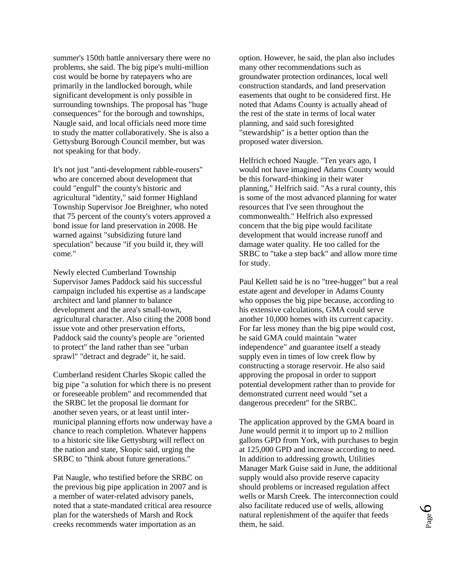summer's 150th battle anniversary there were no problems, she said. The big pipe's multi-million cost would be borne by ratepayers who are primarily in the landlocked borough, while significant development is only possible in surrounding townships. The proposal has "huge consequences" for the borough and townships, Naugle said, and local officials need more time to study the matter collaboratively. She is also a Gettysburg Borough Council member, but was not speaking for that body.

It's not just "anti-development rabble-rousers" who are concerned about development that could "engulf" the county's historic and agricultural "identity," said former Highland Township Supervisor Joe Breighner, who noted that 75 percent of the county's voters approved a bond issue for land preservation in 2008. He warned against "subsidizing future land speculation" because "if you build it, they will come."

Newly elected Cumberland Township Supervisor James Paddock said his successful campaign included his expertise as a landscape architect and land planner to balance development and the area's small-town, agricultural character. Also citing the 2008 bond issue vote and other preservation efforts, Paddock said the county's people are "oriented to protect" the land rather than see "urban sprawl" "detract and degrade" it, he said.

Cumberland resident Charles Skopic called the big pipe "a solution for which there is no present or foreseeable problem" and recommended that the SRBC let the proposal lie dormant for another seven years, or at least until intermunicipal planning efforts now underway have a chance to reach completion. Whatever happens to a historic site like Gettysburg will reflect on the nation and state, Skopic said, urging the SRBC to "think about future generations."

Pat Naugle, who testified before the SRBC on the previous big pipe application in 2007 and is a member of water-related advisory panels, noted that a state-mandated critical area resource plan for the watersheds of Marsh and Rock creeks recommends water importation as an

option. However, he said, the plan also includes many other recommendations such as groundwater protection ordinances, local well construction standards, and land preservation easements that ought to be considered first. He noted that Adams County is actually ahead of the rest of the state in terms of local water planning, and said such foresighted "stewardship" is a better option than the proposed water diversion.

Helfrich echoed Naugle. "Ten years ago, I would not have imagined Adams County would be this forward-thinking in their water planning," Helfrich said. "As a rural county, this is some of the most advanced planning for water resources that I've seen throughout the commonwealth." Helfrich also expressed concern that the big pipe would facilitate development that would increase runoff and damage water quality. He too called for the SRBC to "take a step back" and allow more time for study.

Paul Kellett said he is no "tree-hugger" but a real estate agent and developer in Adams County who opposes the big pipe because, according to his extensive calculations, GMA could serve another 10,000 homes with its current capacity. For far less money than the big pipe would cost, he said GMA could maintain "water independence" and guarantee itself a steady supply even in times of low creek flow by constructing a storage reservoir. He also said approving the proposal in order to support potential development rather than to provide for demonstrated current need would "set a dangerous precedent" for the SRBC.

The application approved by the GMA board in June would permit it to import up to 2 million gallons GPD from York, with purchases to begin at 125,000 GPD and increase according to need. In addition to addressing growth, Utilities Manager Mark Guise said in June, the additional supply would also provide reserve capacity should problems or increased regulation affect wells or Marsh Creek. The interconnection could also facilitate reduced use of wells, allowing natural replenishment of the aquifer that feeds them, he said.